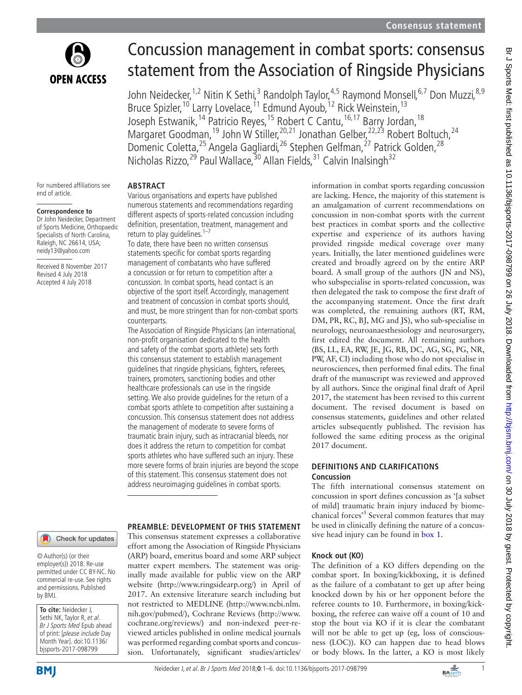

# Concussion management in combat sports: consensus statement from the Association of Ringside Physicians

John Neidecker,<sup>1,2</sup> Nitin K Sethi,<sup>3</sup> Randolph Taylor,<sup>4,5</sup> Raymond Monsell,<sup>6,7</sup> Don Muzzi,<sup>8,9</sup> Bruce Spizler,<sup>10</sup> Larry Lovelace,<sup>11</sup> Edmund Ayoub,<sup>12</sup> Rick Weinstein,<sup>13</sup> Joseph Estwanik,<sup>14</sup> Patricio Reyes,<sup>15</sup> Robert C Cantu,<sup>16,17</sup> Barry Jordan,<sup>18</sup> Margaret Goodman,<sup>19</sup> John W Stiller,<sup>20,21</sup> Jonathan Gelber,<sup>22,23</sup> Robert Boltuch,<sup>24</sup> Domenic Coletta,<sup>25</sup> Angela Gagliardi,<sup>26</sup> Stephen Gelfman,<sup>27</sup> Patrick Golden,<sup>28</sup> Nicholas Rizzo,<sup>29</sup> Paul Wallace,<sup>30</sup> Allan Fields,<sup>31</sup> Calvin Inalsingh<sup>32</sup>

For numbered affiliations see end of article.

#### **Correspondence to**

Dr John Neidecker, Department of Sports Medicine, Orthopaedic Specialists of North Carolina, Raleigh, NC 26614, USA; neidy13@yahoo.com

Received 8 November 2017 Revised 4 July 2018 Accepted 4 July 2018

Various organisations and experts have published numerous statements and recommendations regarding different aspects of sports-related concussion including definition, presentation, treatment, management and return to play quidelines. $1-\frac{7}{2}$ 

**Abstract**

To date, there have been no written consensus statements specific for combat sports regarding management of combatants who have suffered a concussion or for return to competition after a concussion. In combat sports, head contact is an objective of the sport itself. Accordingly, management and treatment of concussion in combat sports should, and must, be more stringent than for non-combat sports counterparts.

The Association of Ringside Physicians (an international, non-profit organisation dedicated to the health and safety of the combat sports athlete) sets forth this consensus statement to establish management guidelines that ringside physicians, fighters, referees, trainers, promoters, sanctioning bodies and other healthcare professionals can use in the ringside setting. We also provide guidelines for the return of a combat sports athlete to competition after sustaining a concussion. This consensus statement does not address the management of moderate to severe forms of traumatic brain injury, such as intracranial bleeds, nor does it address the return to competition for combat sports athletes who have suffered such an injury. These more severe forms of brain injuries are beyond the scope of this statement. This consensus statement does not address neuroimaging guidelines in combat sports.

#### **Preamble: development of this statement**

Check for updates

© Author(s) (or their employer(s)) 2018. Re-use permitted under CC BY-NC. No commercial re-use. See rights and permissions. Published by BMJ.

**To cite:** Neidecker J, Sethi NK, Taylor R, et al. Br J Sports Med Epub ahead of print: [please include Day Month Year]. doi:10.1136/ bjsports-2017-098799

This consensus statement expresses a collaborative effort among the Association of Ringside Physicians (ARP) board, emeritus board and some ARP subject matter expert members. The statement was originally made available for public view on the ARP website ([http://www.ringsidearp.org/\)](http://www.ringsidearp.org/) in April of 2017. An extensive literature search including but not restricted to MEDLINE [\(http://www.ncbi.nlm.](http://www.ncbi.nlm.nih.gov/pubmed/) [nih.gov/pubmed/\)](http://www.ncbi.nlm.nih.gov/pubmed/), Cochrane Reviews [\(http://www.](http://www.cochrane.org/reviews/) [cochrane.org/reviews/\)](http://www.cochrane.org/reviews/) and non-indexed peer-reviewed articles published in online medical journals was performed regarding combat sports and concussion. Unfortunately, significant studies/articles/

information in combat sports regarding concussion are lacking. Hence, the majority of this statement is an amalgamation of current recommendations on concussion in non-combat sports with the current best practices in combat sports and the collective expertise and experience of its authors having provided ringside medical coverage over many years. Initially, the later mentioned guidelines were created and broadly agreed on by the entire ARP board. A small group of the authors (JN and NS), who subspecialise in sports-related concussion, was then delegated the task to compose the first draft of the accompanying statement. Once the first draft was completed, the remaining authors (RT, RM, DM, PR, RC, BJ, MG and JS), who sub-specialise in neurology, neuroanaesthesiology and neurosurgery, first edited the document. All remaining authors (BS, LL, EA, RW, JE, JG, RB, DC, AG, SG, PG, NR, PW, AF, CI) including those who do not specialise in neurosciences, then performed final edits. The final draft of the manuscript was reviewed and approved by all authors. Since the original final draft of April 2017, the statement has been revised to this current document. The revised document is based on consensus statements, guidelines and other related articles subsequently published. The revision has followed the same editing process as the original 2017 document.

# **Definitions and clarifications Concussion**

The fifth international consensus statement on concussion in sport defines concussion as '[a subset of mild] traumatic brain injury induced by biomechanical forces'<sup>5</sup> Several common features that may be used in clinically defining the nature of a concussive head injury can be found in [box](#page-1-0) 1.

# **Knock out (KO)**

The definition of a KO differs depending on the combat sport. In boxing/kickboxing, it is defined as the failure of a combatant to get up after being knocked down by his or her opponent before the referee counts to 10. Furthermore, in boxing/kickboxing, the referee can waive off a count of 10 and stop the bout via KO if it is clear the combatant will not be able to get up (eg, loss of consciousness (LOC)). KO can happen due to head blows or body blows. In the latter, a KO is most likely

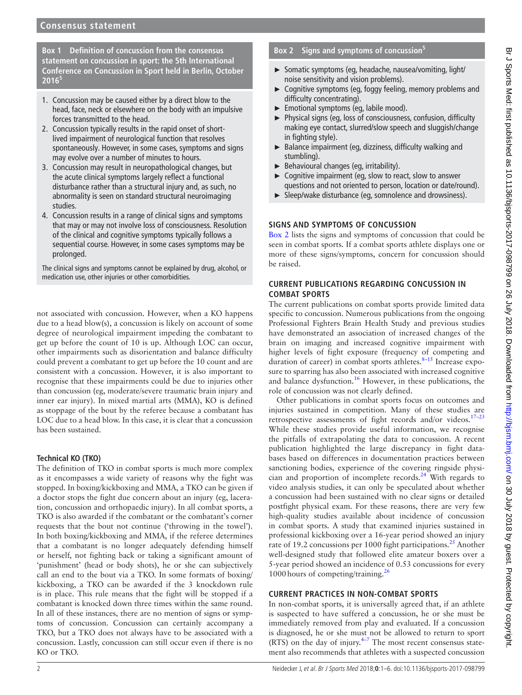# **Box 1 Definition of concussion from the consensus statement on concussion in sport: the 5th International Conference on Concussion in Sport held in Berlin, October 2016[5](#page-5-1)**

- <span id="page-1-0"></span>1. Concussion may be caused either by a direct blow to the head, face, neck or elsewhere on the body with an impulsive forces transmitted to the head.
- 2. Concussion typically results in the rapid onset of shortlived impairment of neurological function that resolves spontaneously. However, in some cases, symptoms and signs may evolve over a number of minutes to hours.
- 3. Concussion may result in neuropathological changes, but the acute clinical symptoms largely reflect a functional disturbance rather than a structural injury and, as such, no abnormality is seen on standard structural neuroimaging studies.
- 4. Concussion results in a range of clinical signs and symptoms that may or may not involve loss of consciousness. Resolution of the clinical and cognitive symptoms typically follows a sequential course. However, in some cases symptoms may be prolonged.

The clinical signs and symptoms cannot be explained by drug, alcohol, or medication use, other injuries or other comorbidities.

not associated with concussion. However, when a KO happens due to a head blow(s), a concussion is likely on account of some degree of neurological impairment impeding the combatant to get up before the count of 10 is up. Although LOC can occur, other impairments such as disorientation and balance difficulty could prevent a combatant to get up before the 10 count and are consistent with a concussion. However, it is also important to recognise that these impairments could be due to injuries other than concussion (eg, moderate/severe traumatic brain injury and inner ear injury). In mixed martial arts (MMA), KO is defined as stoppage of the bout by the referee because a combatant has LOC due to a head blow. In this case, it is clear that a concussion has been sustained.

# **Technical KO (TKO)**

The definition of TKO in combat sports is much more complex as it encompasses a wide variety of reasons why the fight was stopped. In boxing/kickboxing and MMA, a TKO can be given if a doctor stops the fight due concern about an injury (eg, laceration, concussion and orthopaedic injury). In all combat sports, a TKO is also awarded if the combatant or the combatant's corner requests that the bout not continue ('throwing in the towel'). In both boxing/kickboxing and MMA, if the referee determines that a combatant is no longer adequately defending himself or herself, not fighting back or taking a significant amount of 'punishment' (head or body shots), he or she can subjectively call an end to the bout via a TKO. In some formats of boxing/ kickboxing, a TKO can be awarded if the 3 knockdown rule is in place. This rule means that the fight will be stopped if a combatant is knocked down three times within the same round. In all of these instances, there are no mention of signs or symptoms of concussion. Concussion can certainly accompany a TKO, but a TKO does not always have to be associated with a concussion. Lastly, concussion can still occur even if there is no KO or TKO.

# **Box 2 Signs and symptoms of concussio[n5](#page-5-1)**

- <span id="page-1-1"></span>► Somatic symptoms (eg, headache, nausea/vomiting, light/ noise sensitivity and vision problems).
- ► Cognitive symptoms (eg, foggy feeling, memory problems and difficulty concentrating).
- ► Emotional symptoms (eg, labile mood).
- $\blacktriangleright$  Physical signs (eg, loss of consciousness, confusion, difficulty making eye contact, slurred/slow speech and sluggish/change in fighting style).
- ► Balance impairment (eg, dizziness, difficulty walking and stumbling).
- $\blacktriangleright$  Behavioural changes (eg, irritability).
- ► Cognitive impairment (eg, slow to react, slow to answer questions and not oriented to person, location or date/round).
- ► Sleep/wake disturbance (eg, somnolence and drowsiness).

# **Signs and symptoms of concussion**

[Box](#page-1-1) 2 lists the signs and symptoms of concussion that could be seen in combat sports. If a combat sports athlete displays one or more of these signs/symptoms, concern for concussion should be raised.

# **Current publications regarding concussion in combat sports**

The current publications on combat sports provide limited data specific to concussion. Numerous publications from the ongoing Professional Fighters Brain Health Study and previous studies have demonstrated an association of increased changes of the brain on imaging and increased cognitive impairment with higher levels of fight exposure (frequency of competing and duration of career) in combat sports athletes.<sup>8-15</sup> Increase exposure to sparring has also been associated with increased cognitive and balance dysfunction.<sup>16</sup> However, in these publications, the role of concussion was not clearly defined.

Other publications in combat sports focus on outcomes and injuries sustained in competition. Many of these studies are retrospective assessments of fight records and/or videos[.17–23](#page-5-4) While these studies provide useful information, we recognise the pitfalls of extrapolating the data to concussion. A recent publication highlighted the large discrepancy in fight databases based on differences in documentation practices between sanctioning bodies, experience of the covering ringside physician and proportion of incomplete records.<sup>24</sup> With regards to video analysis studies, it can only be speculated about whether a concussion had been sustained with no clear signs or detailed postfight physical exam. For these reasons, there are very few high-quality studies available about incidence of concussion in combat sports. A study that examined injuries sustained in professional kickboxing over a 16-year period showed an injury rate of 19.2 concussions per 1000 fight participations.<sup>25</sup> Another well-designed study that followed elite amateur boxers over a 5-year period showed an incidence of 0.53 concussions for every 1000 hours of competing/training. $^{26}$  $^{26}$  $^{26}$ 

# **Current practices in non-combat sports**

In non-combat sports, it is universally agreed that, if an athlete is suspected to have suffered a concussion, he or she must be immediately removed from play and evaluated. If a concussion is diagnosed, he or she must not be allowed to return to sport  $(RTS)$  on the day of injury.<sup>4–7</sup> The most recent consensus statement also recommends that athletes with a suspected concussion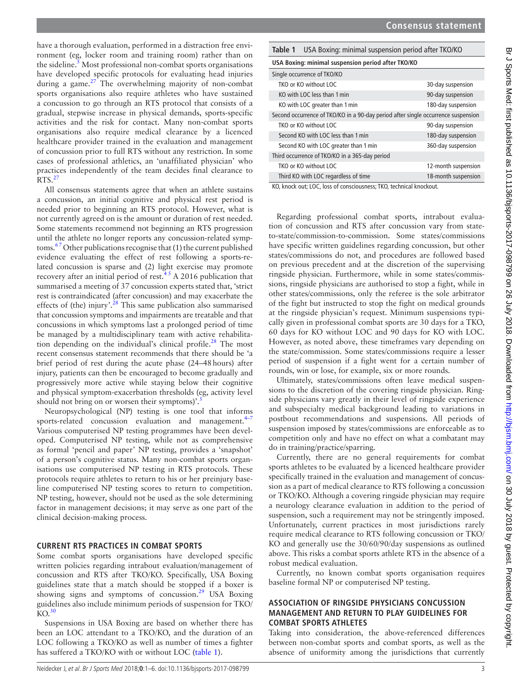have a thorough evaluation, performed in a distraction free environment (eg, locker room and training room) rather than on the sideline.<sup>[5](#page-5-1)</sup> Most professional non-combat sports organisations have developed specific protocols for evaluating head injuries during a game. $27$  The overwhelming majority of non-combat sports organisations also require athletes who have sustained a concussion to go through an RTS protocol that consists of a gradual, stepwise increase in physical demands, sports-specific activities and the risk for contact. Many non-combat sports organisations also require medical clearance by a licenced healthcare provider trained in the evaluation and management of concussion prior to full RTS without any restriction. In some cases of professional athletics, an 'unaffiliated physician' who practices independently of the team decides final clearance to  $RTS.<sup>27</sup>$  $RTS.<sup>27</sup>$  $RTS.<sup>27</sup>$ 

All consensus statements agree that when an athlete sustains a concussion, an initial cognitive and physical rest period is needed prior to beginning an RTS protocol. However, what is not currently agreed on is the amount or duration of rest needed. Some statements recommend not beginning an RTS progression until the athlete no longer reports any concussion-related symptoms.<sup>67</sup> Other publications recognise that (1) the current published evidence evaluating the effect of rest following a sports-related concussion is sparse and (2) light exercise may promote recovery after an initial period of rest.<sup>45</sup> A 2016 publication that summarised a meeting of 37 concussion experts stated that, 'strict rest is contraindicated (after concussion) and may exacerbate the effects of (the) injury'.<sup>[28](#page-5-11)</sup> This same publication also summarised that concussion symptoms and impairments are treatable and that concussions in which symptoms last a prolonged period of time be managed by a multidisciplinary team with active rehabilita-tion depending on the individual's clinical profile.<sup>[28](#page-5-11)</sup> The most recent consensus statement recommends that there should be 'a brief period of rest during the acute phase (24–48hours) after injury, patients can then be encouraged to become gradually and progressively more active while staying below their cognitive and physical symptom-exacerbation thresholds (eg, activity level should not bring on or worsen their symptoms)'.<sup>[5](#page-5-1)</sup>

Neuropsychological (NP) testing is one tool that informs sports-related concussion evaluation and management. $4-7$ Various computerised NP testing programmes have been developed. Computerised NP testing, while not as comprehensive as formal 'pencil and paper' NP testing, provides a 'snapshot' of a person's cognitive status. Many non-combat sports organisations use computerised NP testing in RTS protocols. These protocols require athletes to return to his or her preinjury baseline computerised NP testing scores to return to competition. NP testing, however, should not be used as the sole determining factor in management decisions; it may serve as one part of the clinical decision-making process.

# **Current RTS practices in combat sports**

Some combat sports organisations have developed specific written policies regarding intrabout evaluation/management of concussion and RTS after TKO/KO. Specifically, USA Boxing guidelines state that a match should be stopped if a boxer is showing signs and symptoms of concussion. $29$  USA Boxing guidelines also include minimum periods of suspension for TKO/  $KO.<sup>30</sup>$  $KO.<sup>30</sup>$  $KO.<sup>30</sup>$ 

Suspensions in USA Boxing are based on whether there has been an LOC attendant to a TKO/KO, and the duration of an LOC following a TKO/KO as well as number of times a fighter has suffered a TKO/KO with or without LOC ([table](#page-2-0) 1).

<span id="page-2-0"></span>

| USA Boxing: minimal suspension period after TKO/KO<br>Table 1                     |                     |  |  |
|-----------------------------------------------------------------------------------|---------------------|--|--|
| USA Boxing: minimal suspension period after TKO/KO                                |                     |  |  |
| Single occurrence of TKO/KO                                                       |                     |  |  |
| TKO or KO without LOC                                                             | 30-day suspension   |  |  |
| KO with LOC less than 1 min                                                       | 90-day suspension   |  |  |
| KO with LOC greater than 1 min                                                    | 180-day suspension  |  |  |
| Second occurrence of TKO/KO in a 90-day period after single occurrence suspension |                     |  |  |
| TKO or KO without LOC                                                             | 90-day suspension   |  |  |
| Second KO with LOC less than 1 min                                                | 180-day suspension  |  |  |
| Second KO with LOC greater than 1 min                                             | 360-day suspension  |  |  |
| Third occurrence of TKO/KO in a 365-day period                                    |                     |  |  |
| TKO or KO without LOC                                                             | 12-month suspension |  |  |
| Third KO with LOC regardless of time                                              | 18-month suspension |  |  |

KO, knock out; LOC, loss of consciousness; TKO, technical knockout.

Regarding professional combat sports, intrabout evaluation of concussion and RTS after concussion vary from stateto-state/commission-to-commission. Some states/commissions have specific written guidelines regarding concussion, but other states/commissions do not, and procedures are followed based on previous precedent and at the discretion of the supervising ringside physician. Furthermore, while in some states/commissions, ringside physicians are authorised to stop a fight, while in other states/commissions, only the referee is the sole arbitrator of the fight but instructed to stop the fight on medical grounds at the ringside physician's request. Minimum suspensions typically given in professional combat sports are 30 days for a TKO, 60 days for KO without LOC and 90 days for KO with LOC. However, as noted above, these timeframes vary depending on the state/commission. Some states/commissions require a lesser period of suspension if a fight went for a certain number of rounds, win or lose, for example, six or more rounds.

Ultimately, states/commissions often leave medical suspensions to the discretion of the covering ringside physician. Ringside physicians vary greatly in their level of ringside experience and subspecialty medical background leading to variations in postbout recommendations and suspensions. All periods of suspension imposed by states/commissions are enforceable as to competition only and have no effect on what a combatant may do in training/practice/sparring.

Currently, there are no general requirements for combat sports athletes to be evaluated by a licenced healthcare provider specifically trained in the evaluation and management of concussion as a part of medical clearance to RTS following a concussion or TKO/KO. Although a covering ringside physician may require a neurology clearance evaluation in addition to the period of suspension, such a requirement may not be stringently imposed. Unfortunately, current practices in most jurisdictions rarely require medical clearance to RTS following concussion or TKO/ KO and generally use the 30/60/90/day suspensions as outlined above. This risks a combat sports athlete RTS in the absence of a robust medical evaluation.

Currently, no known combat sports organisation requires baseline formal NP or computerised NP testing.

# **Association of Ringside Physicians Concussion Management and Return to Play Guidelines for Combat Sports Athletes**

Taking into consideration, the above-referenced differences between non-combat sports and combat sports, as well as the absence of uniformity among the jurisdictions that currently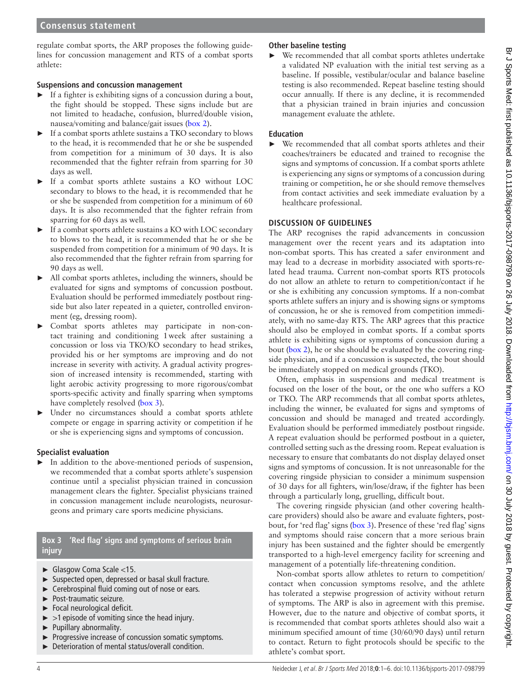regulate combat sports, the ARP proposes the following guidelines for concussion management and RTS of a combat sports athlete:

#### **Suspensions and concussion management**

- $\blacktriangleright$  If a fighter is exhibiting signs of a concussion during a bout, the fight should be stopped. These signs include but are not limited to headache, confusion, blurred/double vision, nausea/vomiting and balance/gait issues [\(box](#page-1-1) 2).
- ► If a combat sports athlete sustains a TKO secondary to blows to the head, it is recommended that he or she be suspended from competition for a minimum of 30 days. It is also recommended that the fighter refrain from sparring for 30 days as well.
- ► If a combat sports athlete sustains a KO without LOC secondary to blows to the head, it is recommended that he or she be suspended from competition for a minimum of 60 days. It is also recommended that the fighter refrain from sparring for 60 days as well.
- If a combat sports athlete sustains a KO with LOC secondary to blows to the head, it is recommended that he or she be suspended from competition for a minimum of 90 days. It is also recommended that the fighter refrain from sparring for 90 days as well.
- All combat sports athletes, including the winners, should be evaluated for signs and symptoms of concussion postbout. Evaluation should be performed immediately postbout ringside but also later repeated in a quieter, controlled environment (eg, dressing room).
- Combat sports athletes may participate in non-contact training and conditioning 1week after sustaining a concussion or loss via TKO/KO secondary to head strikes, provided his or her symptoms are improving and do not increase in severity with activity. A gradual activity progression of increased intensity is recommended, starting with light aerobic activity progressing to more rigorous/combat sports-specific activity and finally sparring when symptoms have completely resolved [\(box](#page-3-0) 3).
- ► Under no circumstances should a combat sports athlete compete or engage in sparring activity or competition if he or she is experiencing signs and symptoms of concussion.

# **Specialist evaluation**

In addition to the above-mentioned periods of suspension, we recommended that a combat sports athlete's suspension continue until a specialist physician trained in concussion management clears the fighter. Specialist physicians trained in concussion management include neurologists, neurosurgeons and primary care sports medicine physicians.

# **Box 3 'Red flag' signs and symptoms of serious brain injury**

- <span id="page-3-0"></span>► Glasgow Coma Scale <15.
- ► Suspected open, depressed or basal skull fracture.
- ► Cerebrospinal fluid coming out of nose or ears.
- ► Post-traumatic seizure.
- ► Focal neurological deficit.
- $>1$  episode of vomiting since the head injury.
- Pupillary abnormality.
- ► Progressive increase of concussion somatic symptoms.
- ► Deterioration of mental status/overall condition.

# **Other baseline testing**

We recommended that all combat sports athletes undertake a validated NP evaluation with the initial test serving as a baseline. If possible, vestibular/ocular and balance baseline testing is also recommended. Repeat baseline testing should occur annually. If there is any decline, it is recommended that a physician trained in brain injuries and concussion management evaluate the athlete.

# **Education**

► We recommended that all combat sports athletes and their coaches/trainers be educated and trained to recognise the signs and symptoms of concussion. If a combat sports athlete is experiencing any signs or symptoms of a concussion during training or competition, he or she should remove themselves from contact activities and seek immediate evaluation by a healthcare professional.

# **Discussion of guidelines**

The ARP recognises the rapid advancements in concussion management over the recent years and its adaptation into non-combat sports. This has created a safer environment and may lead to a decrease in morbidity associated with sports-related head trauma. Current non-combat sports RTS protocols do not allow an athlete to return to competition/contact if he or she is exhibiting any concussion symptoms. If a non-combat sports athlete suffers an injury and is showing signs or symptoms of concussion, he or she is removed from competition immediately, with no same-day RTS. The ARP agrees that this practice should also be employed in combat sports. If a combat sports athlete is exhibiting signs or symptoms of concussion during a bout ([box](#page-1-1) 2), he or she should be evaluated by the covering ringside physician, and if a concussion is suspected, the bout should be immediately stopped on medical grounds (TKO).

Often, emphasis in suspensions and medical treatment is focused on the loser of the bout, or the one who suffers a KO or TKO. The ARP recommends that all combat sports athletes, including the winner, be evaluated for signs and symptoms of concussion and should be managed and treated accordingly. Evaluation should be performed immediately postbout ringside. A repeat evaluation should be performed postbout in a quieter, controlled setting such as the dressing room. Repeat evaluation is necessary to ensure that combatants do not display delayed onset signs and symptoms of concussion. It is not unreasonable for the covering ringside physician to consider a minimum suspension of 30 days for all fighters, win/lose/draw, if the fighter has been through a particularly long, gruelling, difficult bout.

The covering ringside physician (and other covering healthcare providers) should also be aware and evaluate fighters, postbout, for 'red flag' signs [\(box](#page-3-0) 3). Presence of these 'red flag' signs and symptoms should raise concern that a more serious brain injury has been sustained and the fighter should be emergently transported to a high-level emergency facility for screening and management of a potentially life-threatening condition.

Non-combat sports allow athletes to return to competition/ contact when concussion symptoms resolve, and the athlete has tolerated a stepwise progression of activity without return of symptoms. The ARP is also in agreement with this premise. However, due to the nature and objective of combat sports, it is recommended that combat sports athletes should also wait a minimum specified amount of time (30/60/90 days) until return to contact. Return to fight protocols should be specific to the athlete's combat sport.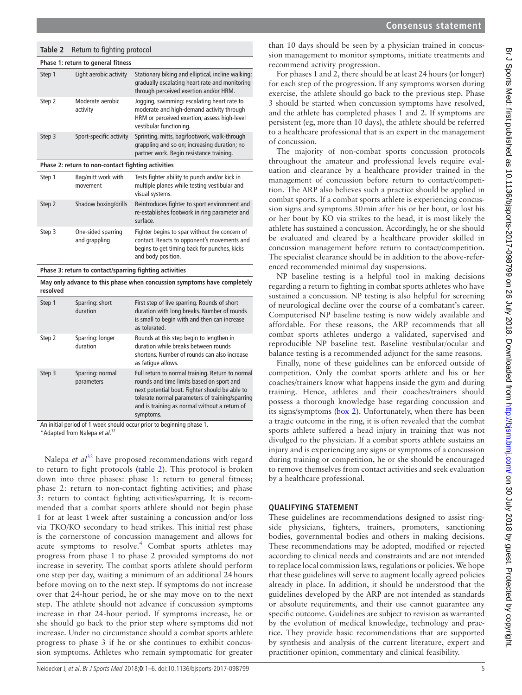| Table 2                                            | Return to fighting protocol    |                                                                                                                                                                     |
|----------------------------------------------------|--------------------------------|---------------------------------------------------------------------------------------------------------------------------------------------------------------------|
| Phase 1: return to general fitness                 |                                |                                                                                                                                                                     |
| Step 1                                             | Light aerobic activity         | Stationary biking and elliptical, incline walking:<br>gradually escalating heart rate and monitoring<br>through perceived exertion and/or HRM.                      |
| Step 2                                             | Moderate aerobic<br>activity   | Jogging, swimming: escalating heart rate to<br>moderate and high-demand activity through<br>HRM or perceived exertion; assess high-level<br>vestibular functioning. |
| Step 3                                             | Sport-specific activity        | Sprinting, mitts, bag/footwork, walk-through<br>grappling and so on; increasing duration; no<br>partner work. Begin resistance training.                            |
| Phase 2: return to non-contact fighting activities |                                |                                                                                                                                                                     |
| Step 1                                             | Bag/mitt work with<br>movement | Tests fighter ability to punch and/or kick in<br>multiple planes while testing vestibular and<br>visual systems.                                                    |
| Step 2                                             | Shadow boxing/drills           | Reintroduces fighter to sport environment and<br>re-establishes footwork in ring parameter and<br>surface.                                                          |

Step 3 One-sided sparring and grappling Fighter begins to spar without the concern of contact. Reacts to opponent's movements and begins to get timing back for punches, kicks and body position.

**Phase 3: return to contact/sparring fighting activities**

**May only advance to this phase when concussion symptoms have completely resolved**

| Step 1 | Sparring: short<br>duration    | First step of live sparring. Rounds of short<br>duration with long breaks. Number of rounds<br>is small to begin with and then can increase<br>as tolerated.                                                                                                     |
|--------|--------------------------------|------------------------------------------------------------------------------------------------------------------------------------------------------------------------------------------------------------------------------------------------------------------|
| Step 2 | Sparring: longer<br>duration   | Rounds at this step begin to lengthen in<br>duration while breaks between rounds<br>shortens. Number of rounds can also increase<br>as fatique allows.                                                                                                           |
| Step 3 | Sparring: normal<br>parameters | Full return to normal training. Return to normal<br>rounds and time limits based on sport and<br>next potential bout. Fighter should be able to<br>tolerate normal parameters of training/sparring<br>and is training as normal without a return of<br>symptoms. |

An initial period of 1 week should occur prior to beginning phase 1.

\*Adapted from Nalepa *et al*. 32

Nalepa *et al*<sup>[32](#page-5-14)</sup> have proposed recommendations with regard to return to fight protocols (table 2). This protocol is broken down into three phases: phase 1: return to general fitness; phase 2: return to non-contact fighting activities; and phase 3: return to contact fighting activities/sparring. It is recommended that a combat sports athlete should not begin phase 1 for at least 1week after sustaining a concussion and/or loss via TKO/KO secondary to head strikes. This initial rest phase is the cornerstone of concussion management and allows for acute symptoms to resolve.<sup>[4](#page-5-8)</sup> Combat sports athletes may progress from phase 1 to phase 2 provided symptoms do not increase in severity. The combat sports athlete should perform one step per day, waiting a minimum of an additional 24hours before moving on to the next step. If symptoms do not increase over that 24-hour period, he or she may move on to the next step. The athlete should not advance if concussion symptoms increase in that 24-hour period. If symptoms increase, he or she should go back to the prior step where symptoms did not increase. Under no circumstance should a combat sports athlete progress to phase 3 if he or she continues to exhibit concussion symptoms. Athletes who remain symptomatic for greater

than 10 days should be seen by a physician trained in concussion management to monitor symptoms, initiate treatments and recommend activity progression.

For phases 1 and 2, there should be at least 24hours (or longer) for each step of the progression. If any symptoms worsen during exercise, the athlete should go back to the previous step. Phase 3 should be started when concussion symptoms have resolved, and the athlete has completed phases 1 and 2. If symptoms are persistent (eg, more than 10 days), the athlete should be referred to a healthcare professional that is an expert in the management of concussion.

The majority of non-combat sports concussion protocols throughout the amateur and professional levels require evaluation and clearance by a healthcare provider trained in the management of concussion before return to contact/competition. The ARP also believes such a practice should be applied in combat sports. If a combat sports athlete is experiencing concussion signs and symptoms 30min after his or her bout, or lost his or her bout by KO via strikes to the head, it is most likely the athlete has sustained a concussion. Accordingly, he or she should be evaluated and cleared by a healthcare provider skilled in concussion management before return to contact/competition. The specialist clearance should be in addition to the above-referenced recommended minimal day suspensions.

NP baseline testing is a helpful tool in making decisions regarding a return to fighting in combat sports athletes who have sustained a concussion. NP testing is also helpful for screening of neurological decline over the course of a combatant's career. Computerised NP baseline testing is now widely available and affordable. For these reasons, the ARP recommends that all combat sports athletes undergo a validated, supervised and reproducible NP baseline test. Baseline vestibular/ocular and balance testing is a recommended adjunct for the same reasons.

Finally, none of these guidelines can be enforced outside of competition. Only the combat sports athlete and his or her coaches/trainers know what happens inside the gym and during training. Hence, athletes and their coaches/trainers should possess a thorough knowledge base regarding concussion and its signs/symptoms [\(box](#page-1-1) 2). Unfortunately, when there has been a tragic outcome in the ring, it is often revealed that the combat sports athlete suffered a head injury in training that was not divulged to the physician. If a combat sports athlete sustains an injury and is experiencing any signs or symptoms of a concussion during training or competition, he or she should be encouraged to remove themselves from contact activities and seek evaluation by a healthcare professional.

# **Qualifying statement**

These guidelines are recommendations designed to assist ringside physicians, fighters, trainers, promoters, sanctioning bodies, governmental bodies and others in making decisions. These recommendations may be adopted, modified or rejected according to clinical needs and constraints and are not intended to replace local commission laws, regulations or policies. We hope that these guidelines will serve to augment locally agreed policies already in place. In addition, it should be understood that the guidelines developed by the ARP are not intended as standards or absolute requirements, and their use cannot guarantee any specific outcome. Guidelines are subject to revision as warranted by the evolution of medical knowledge, technology and practice. They provide basic recommendations that are supported by synthesis and analysis of the current literature, expert and practitioner opinion, commentary and clinical feasibility.